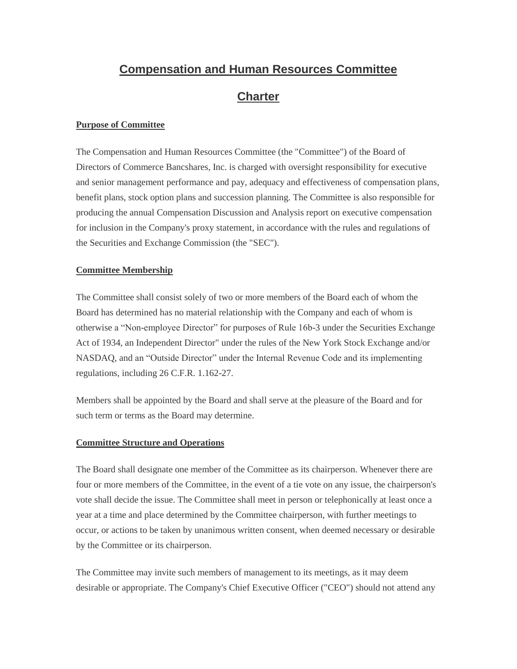# **Compensation and Human Resources Committee Charter**

## **Purpose of Committee**

The Compensation and Human Resources Committee (the "Committee") of the Board of Directors of Commerce Bancshares, Inc. is charged with oversight responsibility for executive and senior management performance and pay, adequacy and effectiveness of compensation plans, benefit plans, stock option plans and succession planning. The Committee is also responsible for producing the annual Compensation Discussion and Analysis report on executive compensation for inclusion in the Company's proxy statement, in accordance with the rules and regulations of the Securities and Exchange Commission (the "SEC").

## **Committee Membership**

The Committee shall consist solely of two or more members of the Board each of whom the Board has determined has no material relationship with the Company and each of whom is otherwise a "Non-employee Director" for purposes of Rule 16b-3 under the Securities Exchange Act of 1934, an Independent Director" under the rules of the New York Stock Exchange and/or NASDAQ, and an "Outside Director" under the Internal Revenue Code and its implementing regulations, including 26 C.F.R. 1.162-27.

Members shall be appointed by the Board and shall serve at the pleasure of the Board and for such term or terms as the Board may determine.

#### **Committee Structure and Operations**

The Board shall designate one member of the Committee as its chairperson. Whenever there are four or more members of the Committee, in the event of a tie vote on any issue, the chairperson's vote shall decide the issue. The Committee shall meet in person or telephonically at least once a year at a time and place determined by the Committee chairperson, with further meetings to occur, or actions to be taken by unanimous written consent, when deemed necessary or desirable by the Committee or its chairperson.

The Committee may invite such members of management to its meetings, as it may deem desirable or appropriate. The Company's Chief Executive Officer ("CEO") should not attend any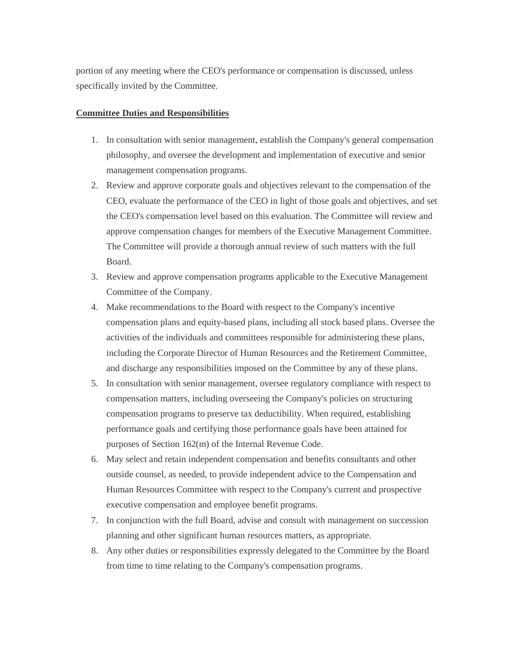portion of any meeting where the CEO's performance or compensation is discussed, unless specifically invited by the Committee.

#### **Committee Duties and Responsibilities**

- 1. In consultation with senior management, establish the Company's general compensation philosophy, and oversee the development and implementation of executive and senior management compensation programs.
- 2. Review and approve corporate goals and objectives relevant to the compensation of the CEO, evaluate the performance of the CEO in light of those goals and objectives, and set the CEO's compensation level based on this evaluation. The Committee will review and approve compensation changes for members of the Executive Management Committee. The Committee will provide a thorough annual review of such matters with the full Board.
- 3. Review and approve compensation programs applicable to the Executive Management Committee of the Company.
- 4. Make recommendations to the Board with respect to the Company's incentive compensation plans and equity-based plans, including all stock based plans. Oversee the activities of the individuals and committees responsible for administering these plans, including the Corporate Director of Human Resources and the Retirement Committee, and discharge any responsibilities imposed on the Committee by any of these plans.
- 5. In consultation with senior management, oversee regulatory compliance with respect to compensation matters, including overseeing the Company's policies on structuring compensation programs to preserve tax deductibility. When required, establishing performance goals and certifying those performance goals have been attained for purposes of Section 162(m) of the Internal Revenue Code.
- 6. May select and retain independent compensation and benefits consultants and other outside counsel, as needed, to provide independent advice to the Compensation and Human Resources Committee with respect to the Company's current and prospective executive compensation and employee benefit programs.
- 7. In conjunction with the full Board, advise and consult with management on succession planning and other significant human resources matters, as appropriate.
- 8. Any other duties or responsibilities expressly delegated to the Committee by the Board from time to time relating to the Company's compensation programs.